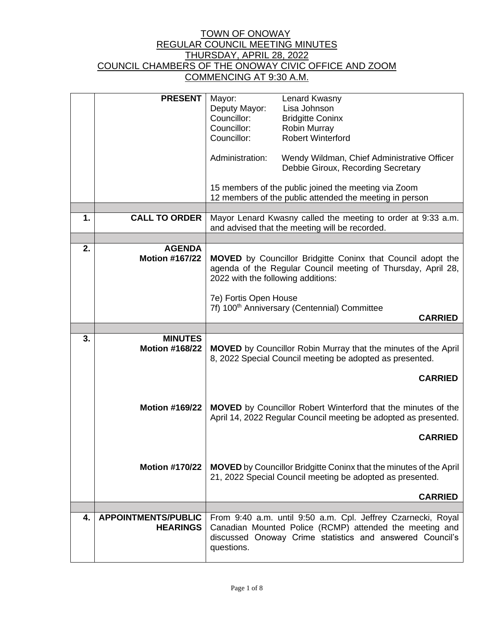|    | <b>PRESENT</b>             | Lenard Kwasny<br>Mayor:                                                                                                           |  |  |
|----|----------------------------|-----------------------------------------------------------------------------------------------------------------------------------|--|--|
|    |                            | Deputy Mayor:<br>Lisa Johnson                                                                                                     |  |  |
|    |                            | Councillor:<br><b>Bridgitte Coninx</b>                                                                                            |  |  |
|    |                            | Councillor:<br><b>Robin Murray</b>                                                                                                |  |  |
|    |                            | <b>Robert Winterford</b><br>Councillor:                                                                                           |  |  |
|    |                            |                                                                                                                                   |  |  |
|    |                            | Administration:<br>Wendy Wildman, Chief Administrative Officer                                                                    |  |  |
|    |                            | Debbie Giroux, Recording Secretary                                                                                                |  |  |
|    |                            |                                                                                                                                   |  |  |
|    |                            | 15 members of the public joined the meeting via Zoom                                                                              |  |  |
|    |                            | 12 members of the public attended the meeting in person                                                                           |  |  |
|    |                            |                                                                                                                                   |  |  |
| 1. | <b>CALL TO ORDER</b>       | Mayor Lenard Kwasny called the meeting to order at 9:33 a.m.                                                                      |  |  |
|    |                            | and advised that the meeting will be recorded.                                                                                    |  |  |
|    |                            |                                                                                                                                   |  |  |
| 2. | <b>AGENDA</b>              |                                                                                                                                   |  |  |
|    | <b>Motion #167/22</b>      | <b>MOVED</b> by Councillor Bridgitte Coninx that Council adopt the                                                                |  |  |
|    |                            | agenda of the Regular Council meeting of Thursday, April 28,                                                                      |  |  |
|    |                            | 2022 with the following additions:                                                                                                |  |  |
|    |                            |                                                                                                                                   |  |  |
|    |                            | 7e) Fortis Open House                                                                                                             |  |  |
|    |                            | 7f) 100 <sup>th</sup> Anniversary (Centennial) Committee                                                                          |  |  |
|    |                            | <b>CARRIED</b>                                                                                                                    |  |  |
|    |                            |                                                                                                                                   |  |  |
|    |                            |                                                                                                                                   |  |  |
| 3. | <b>MINUTES</b>             |                                                                                                                                   |  |  |
|    | <b>Motion #168/22</b>      |                                                                                                                                   |  |  |
|    |                            | <b>MOVED</b> by Councillor Robin Murray that the minutes of the April<br>8, 2022 Special Council meeting be adopted as presented. |  |  |
|    |                            |                                                                                                                                   |  |  |
|    |                            | <b>CARRIED</b>                                                                                                                    |  |  |
|    |                            |                                                                                                                                   |  |  |
|    |                            |                                                                                                                                   |  |  |
|    | <b>Motion #169/22</b>      | <b>MOVED</b> by Councillor Robert Winterford that the minutes of the                                                              |  |  |
|    |                            | April 14, 2022 Regular Council meeting be adopted as presented.                                                                   |  |  |
|    |                            |                                                                                                                                   |  |  |
|    |                            | <b>CARRIED</b>                                                                                                                    |  |  |
|    |                            |                                                                                                                                   |  |  |
|    |                            |                                                                                                                                   |  |  |
|    | Motion #170/22             | <b>MOVED</b> by Councillor Bridgitte Coninx that the minutes of the April                                                         |  |  |
|    |                            | 21, 2022 Special Council meeting be adopted as presented.                                                                         |  |  |
|    |                            |                                                                                                                                   |  |  |
|    |                            | <b>CARRIED</b>                                                                                                                    |  |  |
|    |                            |                                                                                                                                   |  |  |
| 4. | <b>APPOINTMENTS/PUBLIC</b> | From 9:40 a.m. until 9:50 a.m. Cpl. Jeffrey Czarnecki, Royal                                                                      |  |  |
|    | <b>HEARINGS</b>            | Canadian Mounted Police (RCMP) attended the meeting and                                                                           |  |  |
|    |                            | discussed Onoway Crime statistics and answered Council's                                                                          |  |  |
|    |                            | questions.                                                                                                                        |  |  |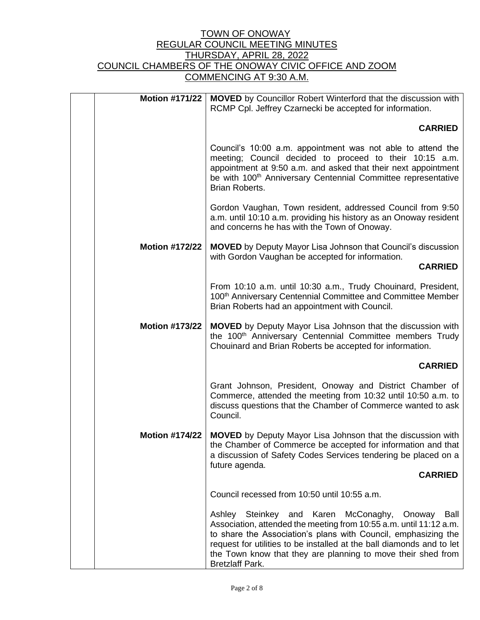| <b>MOVED</b> by Councillor Robert Winterford that the discussion with<br>RCMP Cpl. Jeffrey Czarnecki be accepted for information.                                                                                                                                                                                                                                 | <b>Motion #171/22</b> |
|-------------------------------------------------------------------------------------------------------------------------------------------------------------------------------------------------------------------------------------------------------------------------------------------------------------------------------------------------------------------|-----------------------|
| <b>CARRIED</b>                                                                                                                                                                                                                                                                                                                                                    |                       |
| Council's 10:00 a.m. appointment was not able to attend the<br>meeting; Council decided to proceed to their 10:15 a.m.<br>appointment at 9:50 a.m. and asked that their next appointment<br>be with 100 <sup>th</sup> Anniversary Centennial Committee representative<br><b>Brian Roberts.</b>                                                                    |                       |
| Gordon Vaughan, Town resident, addressed Council from 9:50<br>a.m. until 10:10 a.m. providing his history as an Onoway resident<br>and concerns he has with the Town of Onoway.                                                                                                                                                                                   |                       |
| <b>MOVED</b> by Deputy Mayor Lisa Johnson that Council's discussion<br>with Gordon Vaughan be accepted for information.                                                                                                                                                                                                                                           | <b>Motion #172/22</b> |
| <b>CARRIED</b>                                                                                                                                                                                                                                                                                                                                                    |                       |
| From 10:10 a.m. until 10:30 a.m., Trudy Chouinard, President,<br>100 <sup>th</sup> Anniversary Centennial Committee and Committee Member<br>Brian Roberts had an appointment with Council.                                                                                                                                                                        |                       |
| <b>MOVED</b> by Deputy Mayor Lisa Johnson that the discussion with<br>the 100 <sup>th</sup> Anniversary Centennial Committee members Trudy<br>Chouinard and Brian Roberts be accepted for information.                                                                                                                                                            | <b>Motion #173/22</b> |
| <b>CARRIED</b>                                                                                                                                                                                                                                                                                                                                                    |                       |
| Grant Johnson, President, Onoway and District Chamber of<br>Commerce, attended the meeting from 10:32 until 10:50 a.m. to<br>discuss questions that the Chamber of Commerce wanted to ask<br>Council.                                                                                                                                                             |                       |
| <b>MOVED</b> by Deputy Mayor Lisa Johnson that the discussion with<br>the Chamber of Commerce be accepted for information and that<br>a discussion of Safety Codes Services tendering be placed on a<br>future agenda.                                                                                                                                            | <b>Motion #174/22</b> |
| <b>CARRIED</b>                                                                                                                                                                                                                                                                                                                                                    |                       |
| Council recessed from 10:50 until 10:55 a.m.                                                                                                                                                                                                                                                                                                                      |                       |
| McConaghy, Onoway<br>Ashley Steinkey and Karen<br>Ball<br>Association, attended the meeting from 10:55 a.m. until 11:12 a.m.<br>to share the Association's plans with Council, emphasizing the<br>request for utilities to be installed at the ball diamonds and to let<br>the Town know that they are planning to move their shed from<br><b>Bretzlaff Park.</b> |                       |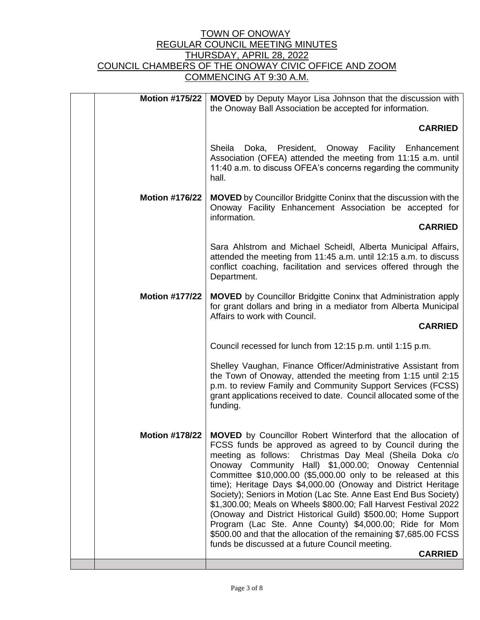| <b>Motion #175/22</b> | <b>MOVED</b> by Deputy Mayor Lisa Johnson that the discussion with<br>the Onoway Ball Association be accepted for information.                                                                                                                                                                                                                                                                                                                                                                                                                                                                                                                                                                                                                                                       |
|-----------------------|--------------------------------------------------------------------------------------------------------------------------------------------------------------------------------------------------------------------------------------------------------------------------------------------------------------------------------------------------------------------------------------------------------------------------------------------------------------------------------------------------------------------------------------------------------------------------------------------------------------------------------------------------------------------------------------------------------------------------------------------------------------------------------------|
|                       | <b>CARRIED</b>                                                                                                                                                                                                                                                                                                                                                                                                                                                                                                                                                                                                                                                                                                                                                                       |
|                       | Sheila<br>Doka, President,<br>Onoway<br><b>Facility</b> Enhancement<br>Association (OFEA) attended the meeting from 11:15 a.m. until<br>11:40 a.m. to discuss OFEA's concerns regarding the community<br>hall.                                                                                                                                                                                                                                                                                                                                                                                                                                                                                                                                                                       |
| <b>Motion #176/22</b> | <b>MOVED</b> by Councillor Bridgitte Coninx that the discussion with the<br>Onoway Facility Enhancement Association be accepted for<br>information.                                                                                                                                                                                                                                                                                                                                                                                                                                                                                                                                                                                                                                  |
|                       | <b>CARRIED</b>                                                                                                                                                                                                                                                                                                                                                                                                                                                                                                                                                                                                                                                                                                                                                                       |
|                       | Sara Ahlstrom and Michael Scheidl, Alberta Municipal Affairs,<br>attended the meeting from 11:45 a.m. until 12:15 a.m. to discuss<br>conflict coaching, facilitation and services offered through the<br>Department.                                                                                                                                                                                                                                                                                                                                                                                                                                                                                                                                                                 |
| <b>Motion #177/22</b> | <b>MOVED</b> by Councillor Bridgitte Coninx that Administration apply<br>for grant dollars and bring in a mediator from Alberta Municipal<br>Affairs to work with Council.                                                                                                                                                                                                                                                                                                                                                                                                                                                                                                                                                                                                           |
|                       | <b>CARRIED</b>                                                                                                                                                                                                                                                                                                                                                                                                                                                                                                                                                                                                                                                                                                                                                                       |
|                       | Council recessed for lunch from 12:15 p.m. until 1:15 p.m.                                                                                                                                                                                                                                                                                                                                                                                                                                                                                                                                                                                                                                                                                                                           |
|                       | Shelley Vaughan, Finance Officer/Administrative Assistant from<br>the Town of Onoway, attended the meeting from 1:15 until 2:15<br>p.m. to review Family and Community Support Services (FCSS)<br>grant applications received to date. Council allocated some of the<br>funding.                                                                                                                                                                                                                                                                                                                                                                                                                                                                                                     |
| <b>Motion #178/22</b> | <b>MOVED</b> by Councillor Robert Winterford that the allocation of<br>FCSS funds be approved as agreed to by Council during the<br>Christmas Day Meal (Sheila Doka c/o<br>meeting as follows:<br>Onoway Community Hall) \$1,000.00; Onoway Centennial<br>Committee \$10,000.00 (\$5,000.00 only to be released at this<br>time); Heritage Days \$4,000.00 (Onoway and District Heritage<br>Society); Seniors in Motion (Lac Ste. Anne East End Bus Society)<br>\$1,300.00; Meals on Wheels \$800.00; Fall Harvest Festival 2022<br>(Onoway and District Historical Guild) \$500.00; Home Support<br>Program (Lac Ste. Anne County) \$4,000.00; Ride for Mom<br>\$500.00 and that the allocation of the remaining \$7,685.00 FCSS<br>funds be discussed at a future Council meeting. |
|                       | <b>CARRIED</b>                                                                                                                                                                                                                                                                                                                                                                                                                                                                                                                                                                                                                                                                                                                                                                       |
|                       |                                                                                                                                                                                                                                                                                                                                                                                                                                                                                                                                                                                                                                                                                                                                                                                      |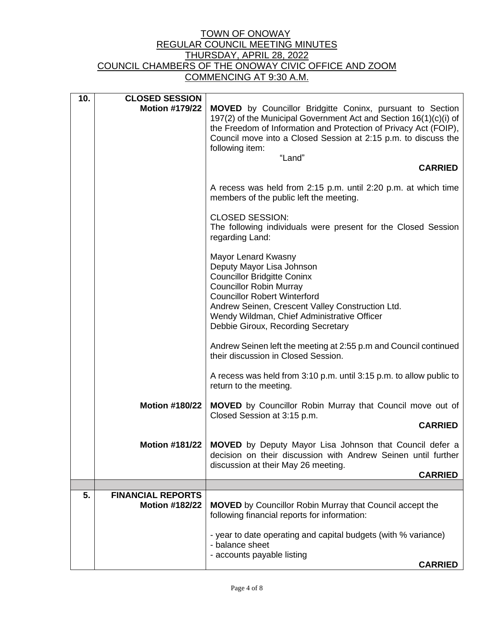| 10. | <b>CLOSED SESSION</b>                             |                                                                                                                                                                                                                                                                                                          |
|-----|---------------------------------------------------|----------------------------------------------------------------------------------------------------------------------------------------------------------------------------------------------------------------------------------------------------------------------------------------------------------|
|     | <b>Motion #179/22</b>                             | <b>MOVED</b> by Councillor Bridgitte Coninx, pursuant to Section<br>197(2) of the Municipal Government Act and Section 16(1)(c)(i) of<br>the Freedom of Information and Protection of Privacy Act (FOIP),<br>Council move into a Closed Session at 2:15 p.m. to discuss the<br>following item:<br>"Land" |
|     |                                                   | <b>CARRIED</b>                                                                                                                                                                                                                                                                                           |
|     |                                                   | A recess was held from 2:15 p.m. until 2:20 p.m. at which time<br>members of the public left the meeting.                                                                                                                                                                                                |
|     |                                                   | <b>CLOSED SESSION:</b><br>The following individuals were present for the Closed Session<br>regarding Land:                                                                                                                                                                                               |
|     |                                                   | Mayor Lenard Kwasny<br>Deputy Mayor Lisa Johnson<br><b>Councillor Bridgitte Coninx</b><br><b>Councillor Robin Murray</b><br><b>Councillor Robert Winterford</b><br>Andrew Seinen, Crescent Valley Construction Ltd.<br>Wendy Wildman, Chief Administrative Officer<br>Debbie Giroux, Recording Secretary |
|     |                                                   | Andrew Seinen left the meeting at 2:55 p.m and Council continued<br>their discussion in Closed Session.                                                                                                                                                                                                  |
|     |                                                   | A recess was held from 3:10 p.m. until 3:15 p.m. to allow public to<br>return to the meeting.                                                                                                                                                                                                            |
|     | <b>Motion #180/22</b>                             | <b>MOVED</b> by Councillor Robin Murray that Council move out of<br>Closed Session at 3:15 p.m.<br><b>CARRIED</b>                                                                                                                                                                                        |
|     | Motion #181/22                                    | MOVED by Deputy Mayor Lisa Johnson that Council defer a<br>decision on their discussion with Andrew Seinen until further<br>discussion at their May 26 meeting.                                                                                                                                          |
|     |                                                   | <b>CARRIED</b>                                                                                                                                                                                                                                                                                           |
| 5.  | <b>FINANCIAL REPORTS</b><br><b>Motion #182/22</b> | <b>MOVED</b> by Councillor Robin Murray that Council accept the<br>following financial reports for information:                                                                                                                                                                                          |
|     |                                                   | - year to date operating and capital budgets (with % variance)<br>- balance sheet<br>- accounts payable listing<br><b>CARRIED</b>                                                                                                                                                                        |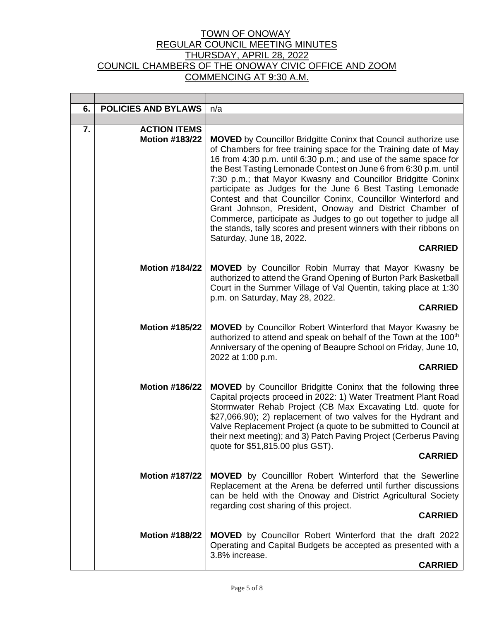| 6. | <b>POLICIES AND BYLAWS</b>                   | n/a                                                                                                                                                                                                                                                                                                                                                                                                                                                                                                                                                                                                                                                                                                                                  |
|----|----------------------------------------------|--------------------------------------------------------------------------------------------------------------------------------------------------------------------------------------------------------------------------------------------------------------------------------------------------------------------------------------------------------------------------------------------------------------------------------------------------------------------------------------------------------------------------------------------------------------------------------------------------------------------------------------------------------------------------------------------------------------------------------------|
|    |                                              |                                                                                                                                                                                                                                                                                                                                                                                                                                                                                                                                                                                                                                                                                                                                      |
| 7. | <b>ACTION ITEMS</b><br><b>Motion #183/22</b> | <b>MOVED</b> by Councillor Bridgitte Coninx that Council authorize use<br>of Chambers for free training space for the Training date of May<br>16 from 4:30 p.m. until 6:30 p.m.; and use of the same space for<br>the Best Tasting Lemonade Contest on June 6 from 6:30 p.m. until<br>7:30 p.m.; that Mayor Kwasny and Councillor Bridgitte Coninx<br>participate as Judges for the June 6 Best Tasting Lemonade<br>Contest and that Councillor Coninx, Councillor Winterford and<br>Grant Johnson, President, Onoway and District Chamber of<br>Commerce, participate as Judges to go out together to judge all<br>the stands, tally scores and present winners with their ribbons on<br>Saturday, June 18, 2022.<br><b>CARRIED</b> |
|    | <b>Motion #184/22</b>                        | <b>MOVED</b> by Councillor Robin Murray that Mayor Kwasny be<br>authorized to attend the Grand Opening of Burton Park Basketball<br>Court in the Summer Village of Val Quentin, taking place at 1:30<br>p.m. on Saturday, May 28, 2022.<br><b>CARRIED</b>                                                                                                                                                                                                                                                                                                                                                                                                                                                                            |
|    | <b>Motion #185/22</b>                        | <b>MOVED</b> by Councillor Robert Winterford that Mayor Kwasny be<br>authorized to attend and speak on behalf of the Town at the 100 <sup>th</sup><br>Anniversary of the opening of Beaupre School on Friday, June 10,<br>2022 at 1:00 p.m.<br><b>CARRIED</b>                                                                                                                                                                                                                                                                                                                                                                                                                                                                        |
|    | <b>Motion #186/22</b>                        | <b>MOVED</b> by Councillor Bridgitte Coninx that the following three<br>Capital projects proceed in 2022: 1) Water Treatment Plant Road<br>Stormwater Rehab Project (CB Max Excavating Ltd. quote for<br>\$27,066.90); 2) replacement of two valves for the Hydrant and<br>Valve Replacement Project (a quote to be submitted to Council at<br>their next meeting); and 3) Patch Paving Project (Cerberus Paving<br>quote for \$51,815.00 plus GST).<br><b>CARRIED</b>                                                                                                                                                                                                                                                               |
|    | <b>Motion #187/22</b>                        | <b>MOVED</b> by Councilllor Robert Winterford that the Sewerline<br>Replacement at the Arena be deferred until further discussions<br>can be held with the Onoway and District Agricultural Society<br>regarding cost sharing of this project.<br><b>CARRIED</b>                                                                                                                                                                                                                                                                                                                                                                                                                                                                     |
|    | <b>Motion #188/22</b>                        | <b>MOVED</b> by Councillor Robert Winterford that the draft 2022<br>Operating and Capital Budgets be accepted as presented with a<br>3.8% increase.<br><b>CARRIED</b>                                                                                                                                                                                                                                                                                                                                                                                                                                                                                                                                                                |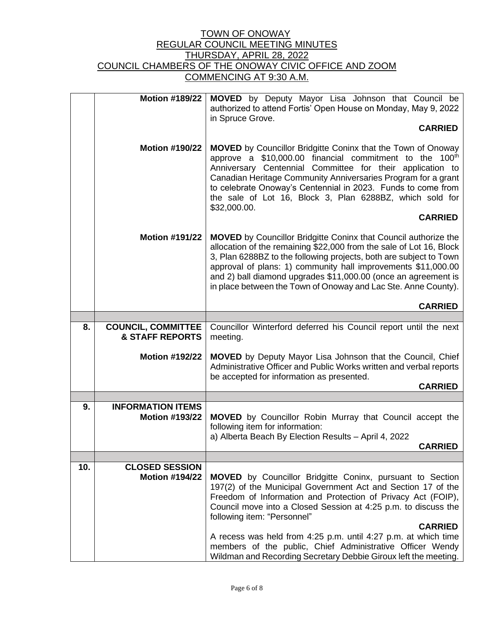|     | <b>Motion #189/22</b>                                   | MOVED by Deputy Mayor Lisa Johnson that Council be<br>authorized to attend Fortis' Open House on Monday, May 9, 2022<br>in Spruce Grove.<br><b>CARRIED</b>                                                                                                                                                                                                                                                                                                                                                            |  |
|-----|---------------------------------------------------------|-----------------------------------------------------------------------------------------------------------------------------------------------------------------------------------------------------------------------------------------------------------------------------------------------------------------------------------------------------------------------------------------------------------------------------------------------------------------------------------------------------------------------|--|
|     | <b>Motion #190/22</b>                                   | <b>MOVED</b> by Councillor Bridgitte Coninx that the Town of Onoway<br>approve a \$10,000.00 financial commitment to the 100 <sup>th</sup><br>Anniversary Centennial Committee for their application to<br>Canadian Heritage Community Anniversaries Program for a grant<br>to celebrate Onoway's Centennial in 2023. Funds to come from<br>the sale of Lot 16, Block 3, Plan 6288BZ, which sold for<br>\$32,000.00.<br><b>CARRIED</b>                                                                                |  |
|     | <b>Motion #191/22</b>                                   | <b>MOVED</b> by Councillor Bridgitte Coninx that Council authorize the<br>allocation of the remaining \$22,000 from the sale of Lot 16, Block<br>3, Plan 6288BZ to the following projects, both are subject to Town<br>approval of plans: 1) community hall improvements \$11,000.00<br>and 2) ball diamond upgrades \$11,000.00 (once an agreement is<br>in place between the Town of Onoway and Lac Ste. Anne County).                                                                                              |  |
|     |                                                         | <b>CARRIED</b>                                                                                                                                                                                                                                                                                                                                                                                                                                                                                                        |  |
|     |                                                         |                                                                                                                                                                                                                                                                                                                                                                                                                                                                                                                       |  |
| 8.  | <b>COUNCIL, COMMITTEE</b><br><b>&amp; STAFF REPORTS</b> | Councillor Winterford deferred his Council report until the next<br>meeting.                                                                                                                                                                                                                                                                                                                                                                                                                                          |  |
|     | <b>Motion #192/22</b>                                   | <b>MOVED</b> by Deputy Mayor Lisa Johnson that the Council, Chief<br>Administrative Officer and Public Works written and verbal reports<br>be accepted for information as presented.                                                                                                                                                                                                                                                                                                                                  |  |
|     |                                                         | <b>CARRIED</b>                                                                                                                                                                                                                                                                                                                                                                                                                                                                                                        |  |
|     |                                                         |                                                                                                                                                                                                                                                                                                                                                                                                                                                                                                                       |  |
| 9.  | <b>INFORMATION ITEMS</b><br><b>Motion #193/22</b>       | MOVED by Councillor Robin Murray that Council accept the<br>following item for information:<br>a) Alberta Beach By Election Results - April 4, 2022<br><b>CARRIED</b>                                                                                                                                                                                                                                                                                                                                                 |  |
|     |                                                         |                                                                                                                                                                                                                                                                                                                                                                                                                                                                                                                       |  |
| 10. | <b>CLOSED SESSION</b><br><b>Motion #194/22</b>          | <b>MOVED</b> by Councillor Bridgitte Coninx, pursuant to Section<br>197(2) of the Municipal Government Act and Section 17 of the<br>Freedom of Information and Protection of Privacy Act (FOIP),<br>Council move into a Closed Session at 4:25 p.m. to discuss the<br>following item: "Personnel"<br><b>CARRIED</b><br>A recess was held from 4:25 p.m. until 4:27 p.m. at which time<br>members of the public, Chief Administrative Officer Wendy<br>Wildman and Recording Secretary Debbie Giroux left the meeting. |  |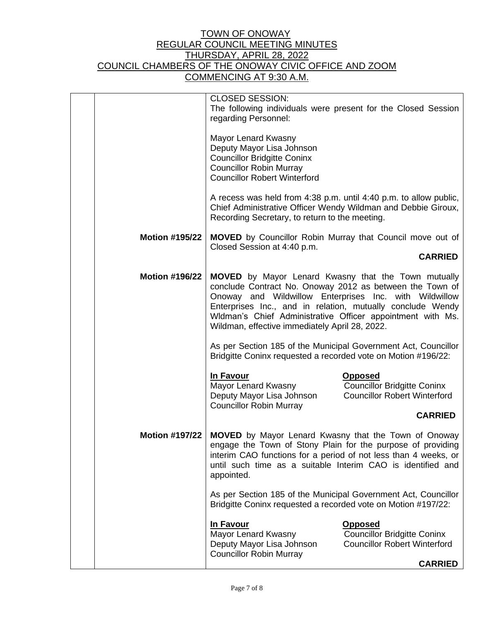|                       | <b>CLOSED SESSION:</b><br>The following individuals were present for the Closed Session<br>regarding Personnel:                                                                                                                                                                                                                                         |                                                                                             |  |
|-----------------------|---------------------------------------------------------------------------------------------------------------------------------------------------------------------------------------------------------------------------------------------------------------------------------------------------------------------------------------------------------|---------------------------------------------------------------------------------------------|--|
|                       | Mayor Lenard Kwasny<br>Deputy Mayor Lisa Johnson<br><b>Councillor Bridgitte Coninx</b><br><b>Councillor Robin Murray</b><br><b>Councillor Robert Winterford</b>                                                                                                                                                                                         |                                                                                             |  |
|                       | A recess was held from 4:38 p.m. until 4:40 p.m. to allow public,<br>Chief Administrative Officer Wendy Wildman and Debbie Giroux,<br>Recording Secretary, to return to the meeting.                                                                                                                                                                    |                                                                                             |  |
| <b>Motion #195/22</b> | <b>MOVED</b> by Councillor Robin Murray that Council move out of<br>Closed Session at 4:40 p.m.                                                                                                                                                                                                                                                         |                                                                                             |  |
|                       | <b>CARRIED</b>                                                                                                                                                                                                                                                                                                                                          |                                                                                             |  |
| <b>Motion #196/22</b> | MOVED by Mayor Lenard Kwasny that the Town mutually<br>conclude Contract No. Onoway 2012 as between the Town of<br>Onoway and Wildwillow Enterprises Inc. with Wildwillow<br>Enterprises Inc., and in relation, mutually conclude Wendy<br>Wldman's Chief Administrative Officer appointment with Ms.<br>Wildman, effective immediately April 28, 2022. |                                                                                             |  |
|                       | As per Section 185 of the Municipal Government Act, Councillor<br>Bridgitte Coninx requested a recorded vote on Motion #196/22:                                                                                                                                                                                                                         |                                                                                             |  |
|                       | In Favour<br>Mayor Lenard Kwasny<br>Deputy Mayor Lisa Johnson<br><b>Councillor Robin Murray</b>                                                                                                                                                                                                                                                         | <b>Opposed</b><br><b>Councillor Bridgitte Coninx</b><br><b>Councillor Robert Winterford</b> |  |
|                       |                                                                                                                                                                                                                                                                                                                                                         | <b>CARRIED</b>                                                                              |  |
| <b>Motion #197/22</b> | <b>MOVED</b> by Mayor Lenard Kwasny that the Town of Onoway<br>engage the Town of Stony Plain for the purpose of providing<br>interim CAO functions for a period of not less than 4 weeks, or<br>until such time as a suitable Interim CAO is identified and<br>appointed.                                                                              |                                                                                             |  |
|                       | As per Section 185 of the Municipal Government Act, Councillor<br>Bridgitte Coninx requested a recorded vote on Motion #197/22:                                                                                                                                                                                                                         |                                                                                             |  |
|                       | In Favour<br>Mayor Lenard Kwasny<br>Deputy Mayor Lisa Johnson<br><b>Councillor Robin Murray</b>                                                                                                                                                                                                                                                         | <b>Opposed</b><br><b>Councillor Bridgitte Coninx</b><br><b>Councillor Robert Winterford</b> |  |
|                       |                                                                                                                                                                                                                                                                                                                                                         | <b>CARRIED</b>                                                                              |  |